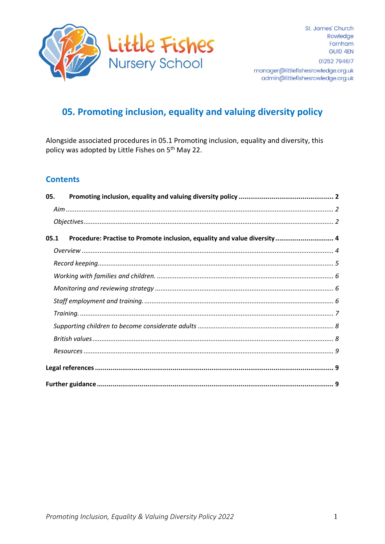

# 05. Promoting inclusion, equality and valuing diversity policy

Alongside associated procedures in 05.1 Promoting inclusion, equality and diversity, this policy was adopted by Little Fishes on 5<sup>th</sup> May 22.

## **Contents**

| 05.  |                                                                          |
|------|--------------------------------------------------------------------------|
|      |                                                                          |
|      |                                                                          |
| 05.1 | Procedure: Practise to Promote inclusion, equality and value diversity 4 |
|      |                                                                          |
|      |                                                                          |
|      |                                                                          |
|      |                                                                          |
|      |                                                                          |
|      |                                                                          |
|      |                                                                          |
|      |                                                                          |
|      |                                                                          |
|      |                                                                          |
|      |                                                                          |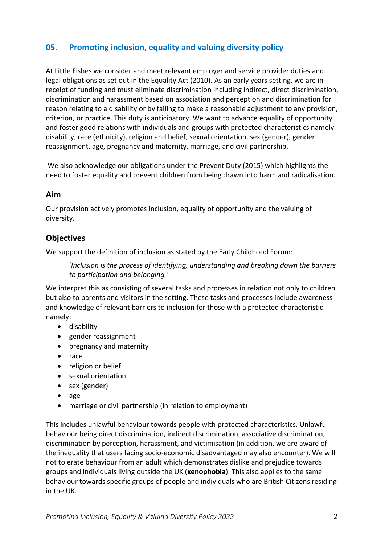# <span id="page-1-0"></span>**05. Promoting inclusion, equality and valuing diversity policy**

At Little Fishes we consider and meet relevant employer and service provider duties and legal obligations as set out in the Equality Act (2010). As an early years setting, we are in receipt of funding and must eliminate discrimination including indirect, direct discrimination, discrimination and harassment based on association and perception and discrimination for reason relating to a disability or by failing to make a reasonable adjustment to any provision, criterion, or practice. This duty is anticipatory. We want to advance equality of opportunity and foster good relations with individuals and groups with protected characteristics namely disability, race (ethnicity), religion and belief, sexual orientation, sex (gender), gender reassignment, age, pregnancy and maternity, marriage, and civil partnership.

We also acknowledge our obligations under the Prevent Duty (2015) which highlights the need to foster equality and prevent children from being drawn into harm and radicalisation.

#### <span id="page-1-1"></span>**Aim**

Our provision actively promotes inclusion, equality of opportunity and the valuing of diversity.

## <span id="page-1-2"></span>**Objectives**

We support the definition of inclusion as stated by the Early Childhood Forum:

'*Inclusion is the process of identifying, understanding and breaking down the barriers to participation and belonging.'*

We interpret this as consisting of several tasks and processes in relation not only to children but also to parents and visitors in the setting. These tasks and processes include awareness and knowledge of relevant barriers to inclusion for those with a protected characteristic namely:

- disability
- gender reassignment
- pregnancy and maternity
- race
- religion or belief
- sexual orientation
- sex (gender)
- age
- marriage or civil partnership (in relation to employment)

This includes unlawful behaviour towards people with protected characteristics. Unlawful behaviour being direct discrimination, indirect discrimination, associative discrimination, discrimination by perception, harassment, and victimisation (in addition, we are aware of the inequality that users facing socio-economic disadvantaged may also encounter). We will not tolerate behaviour from an adult which demonstrates dislike and prejudice towards groups and individuals living outside the UK (**xenophobia**). This also applies to the same behaviour towards specific groups of people and individuals who are British Citizens residing in the UK.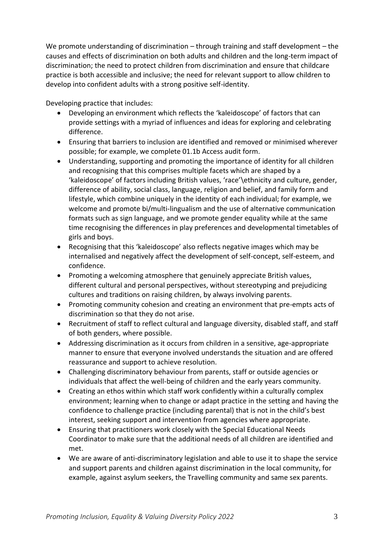We promote understanding of discrimination – through training and staff development – the causes and effects of discrimination on both adults and children and the long-term impact of discrimination; the need to protect children from discrimination and ensure that childcare practice is both accessible and inclusive; the need for relevant support to allow children to develop into confident adults with a strong positive self-identity.

Developing practice that includes:

- Developing an environment which reflects the 'kaleidoscope' of factors that can provide settings with a myriad of influences and ideas for exploring and celebrating difference.
- Ensuring that barriers to inclusion are identified and removed or minimised wherever possible; for example, we complete 01.1b Access audit form.
- Understanding, supporting and promoting the importance of identity for all children and recognising that this comprises multiple facets which are shaped by a 'kaleidoscope' of factors including British values, 'race'\ethnicity and culture, gender, difference of ability, social class, language, religion and belief, and family form and lifestyle, which combine uniquely in the identity of each individual; for example, we welcome and promote bi/multi-lingualism and the use of alternative communication formats such as sign language, and we promote gender equality while at the same time recognising the differences in play preferences and developmental timetables of girls and boys.
- Recognising that this 'kaleidoscope' also reflects negative images which may be internalised and negatively affect the development of self-concept, self-esteem, and confidence.
- Promoting a welcoming atmosphere that genuinely appreciate British values, different cultural and personal perspectives, without stereotyping and prejudicing cultures and traditions on raising children, by always involving parents.
- Promoting community cohesion and creating an environment that pre-empts acts of discrimination so that they do not arise.
- Recruitment of staff to reflect cultural and language diversity, disabled staff, and staff of both genders, where possible.
- Addressing discrimination as it occurs from children in a sensitive, age-appropriate manner to ensure that everyone involved understands the situation and are offered reassurance and support to achieve resolution.
- Challenging discriminatory behaviour from parents, staff or outside agencies or individuals that affect the well-being of children and the early years community.
- Creating an ethos within which staff work confidently within a culturally complex environment; learning when to change or adapt practice in the setting and having the confidence to challenge practice (including parental) that is not in the child's best interest, seeking support and intervention from agencies where appropriate.
- Ensuring that practitioners work closely with the Special Educational Needs Coordinator to make sure that the additional needs of all children are identified and met.
- We are aware of anti-discriminatory legislation and able to use it to shape the service and support parents and children against discrimination in the local community, for example, against asylum seekers, the Travelling community and same sex parents.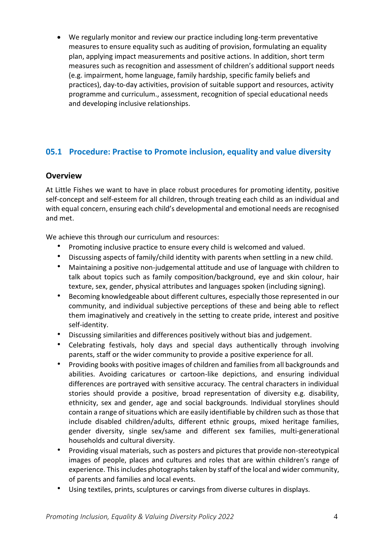• We regularly monitor and review our practice including long-term preventative measures to ensure equality such as auditing of provision, formulating an equality plan, applying impact measurements and positive actions. In addition, short term measures such as recognition and assessment of children's additional support needs (e.g. impairment, home language, family hardship, specific family beliefs and practices), day-to-day activities, provision of suitable support and resources, activity programme and curriculum., assessment, recognition of special educational needs and developing inclusive relationships.

# <span id="page-3-0"></span>**05.1 Procedure: Practise to Promote inclusion, equality and value diversity**

#### <span id="page-3-1"></span>**Overview**

At Little Fishes we want to have in place robust procedures for promoting identity, positive self-concept and self-esteem for all children, through treating each child as an individual and with equal concern, ensuring each child's developmental and emotional needs are recognised and met.

We achieve this through our curriculum and resources:

- Promoting inclusive practice to ensure every child is welcomed and valued.
- Discussing aspects of family/child identity with parents when settling in a new child.
- Maintaining a positive non-judgemental attitude and use of language with children to talk about topics such as family composition/background, eye and skin colour, hair texture, sex, gender, physical attributes and languages spoken (including signing).
- Becoming knowledgeable about different cultures, especially those represented in our community, and individual subjective perceptions of these and being able to reflect them imaginatively and creatively in the setting to create pride, interest and positive self-identity.
- Discussing similarities and differences positively without bias and judgement.
- Celebrating festivals, holy days and special days authentically through involving parents, staff or the wider community to provide a positive experience for all.
- Providing books with positive images of children and families from all backgrounds and abilities. Avoiding caricatures or cartoon-like depictions, and ensuring individual differences are portrayed with sensitive accuracy. The central characters in individual stories should provide a positive, broad representation of diversity e.g. disability, ethnicity, sex and gender, age and social backgrounds. Individual storylines should contain a range of situations which are easily identifiable by children such as those that include disabled children/adults, different ethnic groups, mixed heritage families, gender diversity, single sex/same and different sex families, multi-generational households and cultural diversity.
- Providing visual materials, such as posters and pictures that provide non-stereotypical images of people, places and cultures and roles that are within children's range of experience. This includes photographs taken by staff of the local and wider community, of parents and families and local events.
- Using textiles, prints, sculptures or carvings from diverse cultures in displays.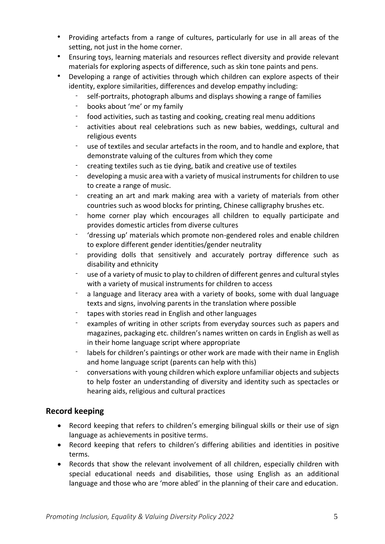- Providing artefacts from a range of cultures, particularly for use in all areas of the setting, not just in the home corner.
- Ensuring toys, learning materials and resources reflect diversity and provide relevant materials for exploring aspects of difference, such as skin tone paints and pens.
- Developing a range of activities through which children can explore aspects of their identity, explore similarities, differences and develop empathy including:
	- self-portraits, photograph albums and displays showing a range of families
	- books about 'me' or my family
	- food activities, such as tasting and cooking, creating real menu additions
	- activities about real celebrations such as new babies, weddings, cultural and religious events
	- use of textiles and secular artefacts in the room, and to handle and explore, that demonstrate valuing of the cultures from which they come
	- creating textiles such as tie dying, batik and creative use of textiles
	- developing a music area with a variety of musical instruments for children to use to create a range of music.
	- creating an art and mark making area with a variety of materials from other countries such as wood blocks for printing, Chinese calligraphy brushes etc.
	- home corner play which encourages all children to equally participate and provides domestic articles from diverse cultures
	- 'dressing up' materials which promote non-gendered roles and enable children to explore different gender identities/gender neutrality
	- providing dolls that sensitively and accurately portray difference such as disability and ethnicity
	- use of a variety of music to play to children of different genres and cultural styles with a variety of musical instruments for children to access
	- a language and literacy area with a variety of books, some with dual language texts and signs, involving parents in the translation where possible
	- tapes with stories read in English and other languages
	- examples of writing in other scripts from everyday sources such as papers and magazines, packaging etc. children's names written on cards in English as well as in their home language script where appropriate
	- labels for children's paintings or other work are made with their name in English and home language script (parents can help with this)
	- conversations with young children which explore unfamiliar objects and subjects to help foster an understanding of diversity and identity such as spectacles or hearing aids, religious and cultural practices

## <span id="page-4-0"></span>**Record keeping**

- Record keeping that refers to children's emerging bilingual skills or their use of sign language as achievements in positive terms.
- Record keeping that refers to children's differing abilities and identities in positive terms.
- Records that show the relevant involvement of all children, especially children with special educational needs and disabilities, those using English as an additional language and those who are 'more abled' in the planning of their care and education.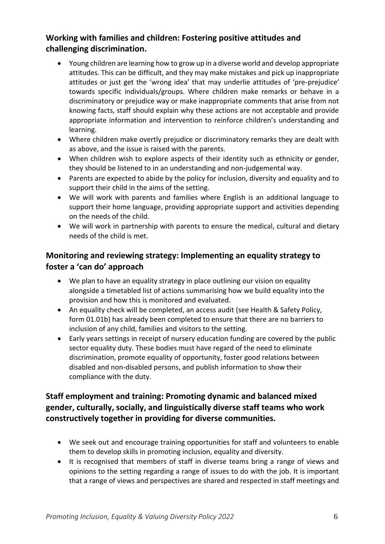# <span id="page-5-0"></span>**Working with families and children: Fostering positive attitudes and challenging discrimination.**

- Young children are learning how to grow up in a diverse world and develop appropriate attitudes. This can be difficult, and they may make mistakes and pick up inappropriate attitudes or just get the 'wrong idea' that may underlie attitudes of 'pre-prejudice' towards specific individuals/groups. Where children make remarks or behave in a discriminatory or prejudice way or make inappropriate comments that arise from not knowing facts, staff should explain why these actions are not acceptable and provide appropriate information and intervention to reinforce children's understanding and learning.
- Where children make overtly prejudice or discriminatory remarks they are dealt with as above, and the issue is raised with the parents.
- When children wish to explore aspects of their identity such as ethnicity or gender, they should be listened to in an understanding and non-judgemental way.
- Parents are expected to abide by the policy for inclusion, diversity and equality and to support their child in the aims of the setting.
- We will work with parents and families where English is an additional language to support their home language, providing appropriate support and activities depending on the needs of the child.
- We will work in partnership with parents to ensure the medical, cultural and dietary needs of the child is met.

## <span id="page-5-1"></span>**Monitoring and reviewing strategy: Implementing an equality strategy to foster a 'can do' approach**

- We plan to have an equality strategy in place outlining our vision on equality alongside a timetabled list of actions summarising how we build equality into the provision and how this is monitored and evaluated.
- An equality check will be completed, an access audit (see Health & Safety Policy, form 01.01b) has already been completed to ensure that there are no barriers to inclusion of any child, families and visitors to the setting.
- Early years settings in receipt of nursery education funding are covered by the public sector equality duty. These bodies must have regard of the need to eliminate discrimination, promote equality of opportunity, foster good relations between disabled and non-disabled persons, and publish information to show their compliance with the duty.

# <span id="page-5-2"></span>**Staff employment and training: Promoting dynamic and balanced mixed gender, culturally, socially, and linguistically diverse staff teams who work constructively together in providing for diverse communities.**

- We seek out and encourage training opportunities for staff and volunteers to enable them to develop skills in promoting inclusion, equality and diversity.
- It is recognised that members of staff in diverse teams bring a range of views and opinions to the setting regarding a range of issues to do with the job. It is important that a range of views and perspectives are shared and respected in staff meetings and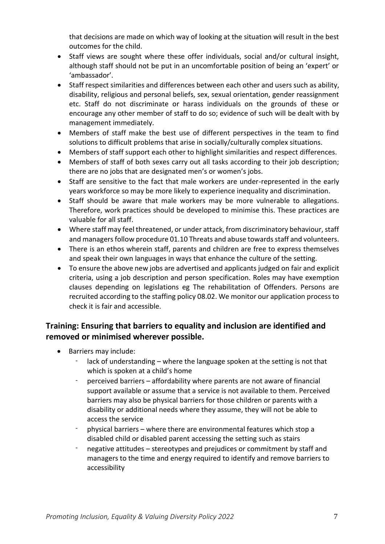that decisions are made on which way of looking at the situation will result in the best outcomes for the child.

- Staff views are sought where these offer individuals, social and/or cultural insight, although staff should not be put in an uncomfortable position of being an 'expert' or 'ambassador'.
- Staff respect similarities and differences between each other and users such as ability, disability, religious and personal beliefs, sex, sexual orientation, gender reassignment etc. Staff do not discriminate or harass individuals on the grounds of these or encourage any other member of staff to do so; evidence of such will be dealt with by management immediately.
- Members of staff make the best use of different perspectives in the team to find solutions to difficult problems that arise in socially/culturally complex situations.
- Members of staff support each other to highlight similarities and respect differences.
- Members of staff of both sexes carry out all tasks according to their job description; there are no jobs that are designated men's or women's jobs.
- Staff are sensitive to the fact that male workers are under-represented in the early years workforce so may be more likely to experience inequality and discrimination.
- Staff should be aware that male workers may be more vulnerable to allegations. Therefore, work practices should be developed to minimise this. These practices are valuable for all staff.
- Where staff may feel threatened, or under attack, from discriminatory behaviour, staff and managers follow procedure 01.10 Threats and abuse towards staff and volunteers.
- There is an ethos wherein staff, parents and children are free to express themselves and speak their own languages in ways that enhance the culture of the setting.
- To ensure the above new jobs are advertised and applicants judged on fair and explicit criteria, using a job description and person specification. Roles may have exemption clauses depending on legislations eg The rehabilitation of Offenders. Persons are recruited according to the staffing policy 08.02. We monitor our application process to check it is fair and accessible.

# <span id="page-6-0"></span>**Training: Ensuring that barriers to equality and inclusion are identified and removed or minimised wherever possible.**

- Barriers may include:
	- lack of understanding where the language spoken at the setting is not that which is spoken at a child's home
	- perceived barriers affordability where parents are not aware of financial support available or assume that a service is not available to them. Perceived barriers may also be physical barriers for those children or parents with a disability or additional needs where they assume, they will not be able to access the service
	- physical barriers where there are environmental features which stop a disabled child or disabled parent accessing the setting such as stairs
	- negative attitudes stereotypes and prejudices or commitment by staff and managers to the time and energy required to identify and remove barriers to accessibility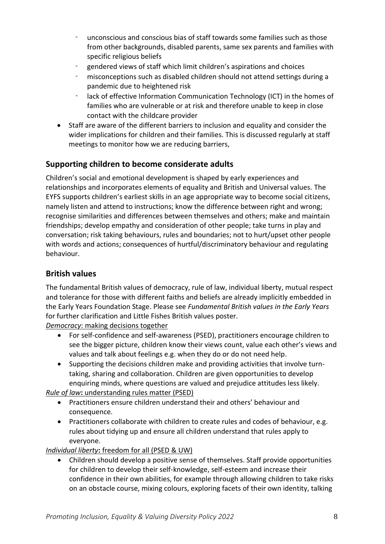- unconscious and conscious bias of staff towards some families such as those from other backgrounds, disabled parents, same sex parents and families with specific religious beliefs
- gendered views of staff which limit children's aspirations and choices
- misconceptions such as disabled children should not attend settings during a pandemic due to heightened risk
- lack of effective Information Communication Technology (ICT) in the homes of families who are vulnerable or at risk and therefore unable to keep in close contact with the childcare provider
- Staff are aware of the different barriers to inclusion and equality and consider the wider implications for children and their families. This is discussed regularly at staff meetings to monitor how we are reducing barriers,

# <span id="page-7-0"></span>**Supporting children to become considerate adults**

Children's social and emotional development is shaped by early experiences and relationships and incorporates elements of equality and British and Universal values. The EYFS supports children's earliest skills in an age appropriate way to become social citizens, namely listen and attend to instructions; know the difference between right and wrong; recognise similarities and differences between themselves and others; make and maintain friendships; develop empathy and consideration of other people; take turns in play and conversation; risk taking behaviours, rules and boundaries; not to hurt/upset other people with words and actions; consequences of hurtful/discriminatory behaviour and regulating behaviour.

## <span id="page-7-1"></span>**British values**

The fundamental British values of democracy, rule of law, individual liberty, mutual respect and tolerance for those with different faiths and beliefs are already implicitly embedded in the Early Years Foundation Stage. Please see *Fundamental British values in the Early Years* for further clarification and Little Fishes British values poster.

*Democracy*: making decisions together

- For self-confidence and self-awareness (PSED), practitioners encourage children to see the bigger picture, children know their views count, value each other's views and values and talk about feelings e.g. when they do or do not need help.
- Supporting the decisions children make and providing activities that involve turntaking, sharing and collaboration. Children are given opportunities to develop enquiring minds, where questions are valued and prejudice attitudes less likely.

*Rule of law***:** understanding rules matter (PSED)

- Practitioners ensure children understand their and others' behaviour and consequence.
- Practitioners collaborate with children to create rules and codes of behaviour, e.g. rules about tidying up and ensure all children understand that rules apply to everyone.

*Individual liberty***:** freedom for all (PSED & UW)

• Children should develop a positive sense of themselves. Staff provide opportunities for children to develop their self-knowledge, self-esteem and increase their confidence in their own abilities, for example through allowing children to take risks on an obstacle course, mixing colours, exploring facets of their own identity, talking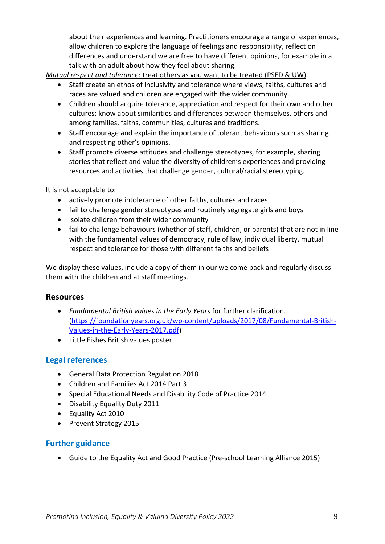about their experiences and learning. Practitioners encourage a range of experiences, allow children to explore the language of feelings and responsibility, reflect on differences and understand we are free to have different opinions, for example in a talk with an adult about how they feel about sharing.

*Mutual respect and tolerance*: treat others as you want to be treated (PSED & UW)

- Staff create an ethos of inclusivity and tolerance where views, faiths, cultures and races are valued and children are engaged with the wider community.
- Children should acquire tolerance, appreciation and respect for their own and other cultures; know about similarities and differences between themselves, others and among families, faiths, communities, cultures and traditions.
- Staff encourage and explain the importance of tolerant behaviours such as sharing and respecting other's opinions.
- Staff promote diverse attitudes and challenge stereotypes, for example, sharing stories that reflect and value the diversity of children's experiences and providing resources and activities that challenge gender, cultural/racial stereotyping.

It is not acceptable to:

- actively promote intolerance of other faiths, cultures and races
- fail to challenge gender stereotypes and routinely segregate girls and boys
- isolate children from their wider community
- fail to challenge behaviours (whether of staff, children, or parents) that are not in line with the fundamental values of democracy, rule of law, individual liberty, mutual respect and tolerance for those with different faiths and beliefs

We display these values, include a copy of them in our welcome pack and regularly discuss them with the children and at staff meetings.

#### <span id="page-8-0"></span>**Resources**

- *Fundamental British values in the Early Years* for further clarification*.*  [\(https://foundationyears.org.uk/wp-content/uploads/2017/08/Fundamental-British-](https://foundationyears.org.uk/wp-content/uploads/2017/08/Fundamental-British-Values-in-the-Early-Years-2017.pdf)[Values-in-the-Early-Years-2017.pdf\)](https://foundationyears.org.uk/wp-content/uploads/2017/08/Fundamental-British-Values-in-the-Early-Years-2017.pdf)
- Little Fishes British values poster

## <span id="page-8-1"></span>**Legal references**

- General Data Protection Regulation 2018
- Children and Families Act 2014 Part 3
- Special Educational Needs and Disability Code of Practice 2014
- Disability Equality Duty 2011
- Equality Act 2010
- Prevent Strategy 2015

#### <span id="page-8-2"></span>**Further guidance**

• Guide to the Equality Act and Good Practice (Pre-school Learning Alliance 2015)